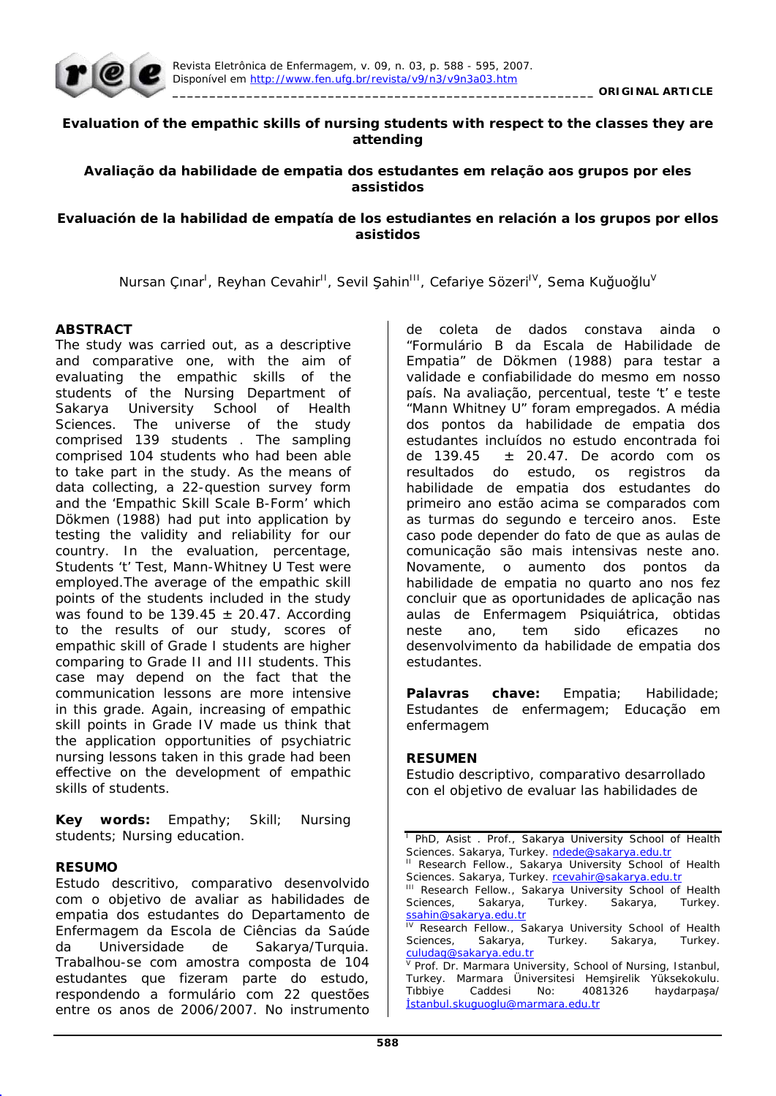

### **Evaluation of the empathic skills of nursing students with respect to the classes they are attending**

### **Avaliação da habilidade de empatia dos estudantes em relação aos grupos por eles assistidos**

### **Evaluación de la habilidad de empatía de los estudiantes en relación a los grupos por ellos asistidos**

Nursan Çınar<sup>ı</sup>, Reyhan Cevahir<sup>ıı</sup>, Sevil Şahin<sup>ııı</sup>, Cefariye Sözeri<sup>ıv</sup>, Sema Kuğuoğlu<sup>v</sup>

### **ABSTRACT**

The study was carried out, as a descriptive and comparative one, with the aim of evaluating the empathic skills of the students of the Nursing Department of Sakarya University School of Health Sciences. The universe of the study comprised 139 students . The sampling comprised 104 students who had been able to take part in the study. As the means of data collecting, a 22-question survey form and the 'Empathic Skill Scale B-Form' which Dökmen (1988) had put into application by testing the validity and reliability for our country. In the evaluation, percentage, Students 't' Test, Mann-Whitney U Test were employed.The average of the empathic skill points of the students included in the study was found to be 139.45  $\pm$  20.47. According to the results of our study, scores of empathic skill of Grade I students are higher comparing to Grade II and III students. This case may depend on the fact that the communication lessons are more intensive in this grade. Again, increasing of empathic skill points in Grade IV made us think that the application opportunities of psychiatric nursing lessons taken in this grade had been effective on the development of empathic skills of students.

**Key words:** Empathy; Skill; Nursing students; Nursing education.

### **RESUMO**

Estudo descritivo, comparativo desenvolvido com o objetivo de avaliar as habilidades de empatia dos estudantes do Departamento de Enfermagem da Escola de Ciências da Saúde da Universidade de Sakarya/Turquia. Trabalhou-se com amostra composta de 104 estudantes que fizeram parte do estudo, respondendo a formulário com 22 questões entre os anos de 2006/2007. No instrumento de coleta de dados constava ainda o "Formulário B da Escala de Habilidade de Empatia" de Dökmen (1988) para testar a validade e confiabilidade do mesmo em nosso país. Na avaliação, percentual, teste 't' e teste "Mann Whitney U" foram empregados. A média dos pontos da habilidade de empatia dos estudantes incluídos no estudo encontrada foi de 139.45  $\pm$  20.47. De acordo com os resultados do estudo, os registros da habilidade de empatia dos estudantes do primeiro ano estão acima se comparados com as turmas do segundo e terceiro anos. Este caso pode depender do fato de que as aulas de comunicação são mais intensivas neste ano. Novamente, o aumento dos pontos da habilidade de empatia no quarto ano nos fez concluir que as oportunidades de aplicação nas aulas de Enfermagem Psiquiátrica, obtidas neste ano, tem sido eficazes no desenvolvimento da habilidade de empatia dos estudantes.

**Palavras chave:** Empatia; Habilidade; Estudantes de enfermagem; Educação em enfermagem

### **RESUMEN**

Estudio descriptivo, comparativo desarrollado con el objetivo de evaluar las habilidades de

<sup>1</sup> PhD, Asist. Prof., Sakarya University School of Health Sciences. Sakarya, Turkey. ndede@sakarya.edu.tr

Research Fellow., Sakarya University School of Health Sciences. Sakarya, Turkey. rcevahir@sakarya.edu.tr

III Research Fellow., Sakarya University School of Health<br>Sciences, Sakarya, Turkey. Sakarya, Turkey. Sciences, Sakarya, Turkey. Sakarya, Turkey. ssahin@sakarya.edu.tr

Research Fellow., Sakarya University School of Health Sciences, Sakarya, Turkey. Sakarya, Turkey. culudag@sakarya.edu.tr

V Prof. Dr. Marmara University, School of Nursing, Istanbul, Turkey. Marmara Üniversitesi Hemsirelik Yüksekokulu. Tibbiye Caddesi No: 4081326 haydarpaşa/ østanbul.skuguoglu@marmara.edu.tr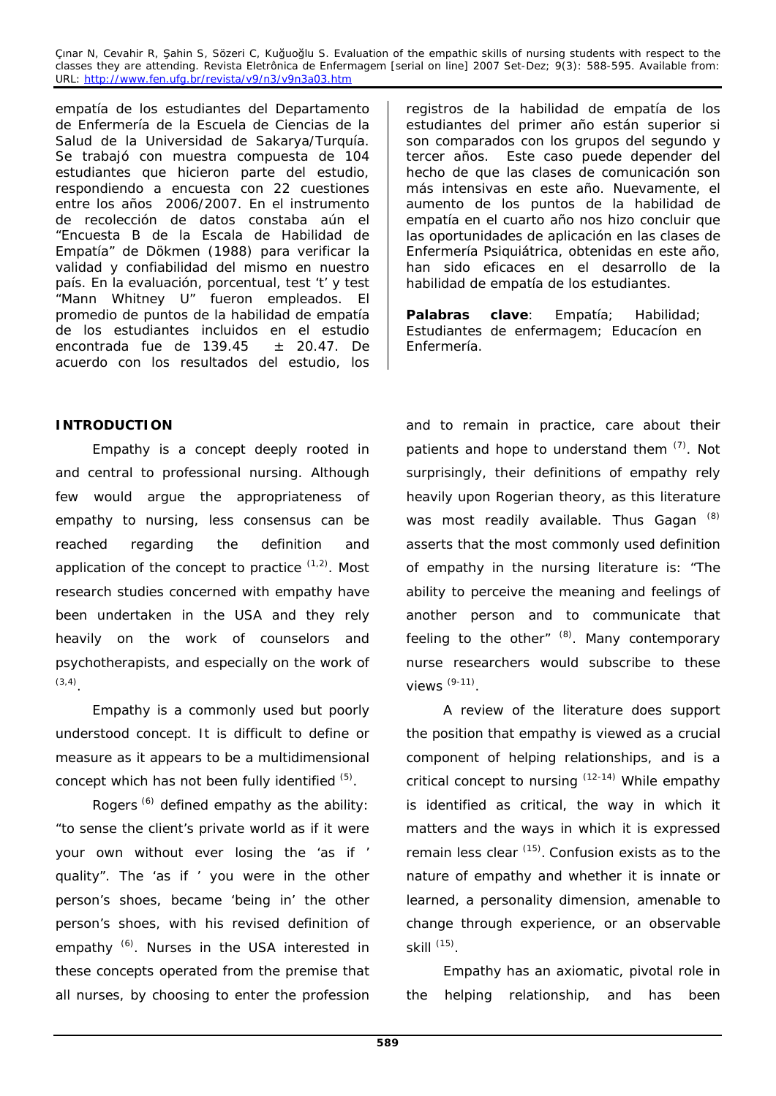empatía de los estudiantes del Departamento de Enfermería de la Escuela de Ciencias de la Salud de la Universidad de Sakarya/Turquía. Se trabajó con muestra compuesta de 104 estudiantes que hicieron parte del estudio, respondiendo a encuesta con 22 cuestiones entre los años 2006/2007. En el instrumento de recolección de datos constaba aún el "Encuesta B de la Escala de Habilidad de Empatía" de Dökmen (1988) para verificar la validad y confiabilidad del mismo en nuestro país. En la evaluación, porcentual, test 't' y test "Mann Whitney U" fueron empleados. El promedio de puntos de la habilidad de empatía de los estudiantes incluidos en el estudio encontrada fue de 139.45  $\pm$  20.47. De acuerdo con los resultados del estudio, los

# **INTRODUCTION**

Empathy is a concept deeply rooted in and central to professional nursing. Although few would argue the appropriateness of empathy to nursing, less consensus can be reached regarding the definition and application of the concept to practice  $(1,2)$ . Most research studies concerned with empathy have been undertaken in the USA and they rely heavily on the work of counselors and psychotherapists, and especially on the work of (3,4).

Empathy is a commonly used but poorly understood concept. It is difficult to define or measure as it appears to be a multidimensional concept which has not been fully identified (5).

Rogers  $<sup>(6)</sup>$  defined empathy as the ability:</sup> "to sense the client's private world as if it were your own without ever losing the 'as if ' quality". The 'as if ' you were in the other person's shoes, became 'being in' the other person's shoes, with his revised definition of empathy <sup>(6)</sup>. Nurses in the USA interested in these concepts operated from the premise that all nurses, by choosing to enter the profession registros de la habilidad de empatía de los estudiantes del primer año están superior si son comparados con los grupos del segundo y tercer años. Este caso puede depender del hecho de que las clases de comunicación son más intensivas en este año. Nuevamente, el aumento de los puntos de la habilidad de empatía en el cuarto año nos hizo concluir que las oportunidades de aplicación en las clases de Enfermería Psiquiátrica, obtenidas en este año, han sido eficaces en el desarrollo de la habilidad de empatía de los estudiantes.

**Palabras clave**: Empatía; Habilidad; Estudiantes de enfermagem; Educacíon en Enfermería.

and to remain in practice, care about their patients and hope to understand them  $(7)$ . Not surprisingly, their definitions of empathy rely heavily upon Rogerian theory, as this literature was most readily available. Thus Gagan (8) asserts that the most commonly used definition of empathy in the nursing literature is: "The ability to perceive the meaning and feelings of another person and to communicate that feeling to the other"  $(8)$ . Many contemporary nurse researchers would subscribe to these views (9-11).

A review of the literature does support the position that empathy is viewed as a crucial component of helping relationships, and is a critical concept to nursing (12-14) While empathy is identified as critical, the way in which it matters and the ways in which it is expressed remain less clear  $(15)$ . Confusion exists as to the nature of empathy and whether it is innate or learned, a personality dimension, amenable to change through experience, or an observable skill  $<sup>(15)</sup>$ .</sup>

Empathy has an axiomatic, pivotal role in the helping relationship, and has been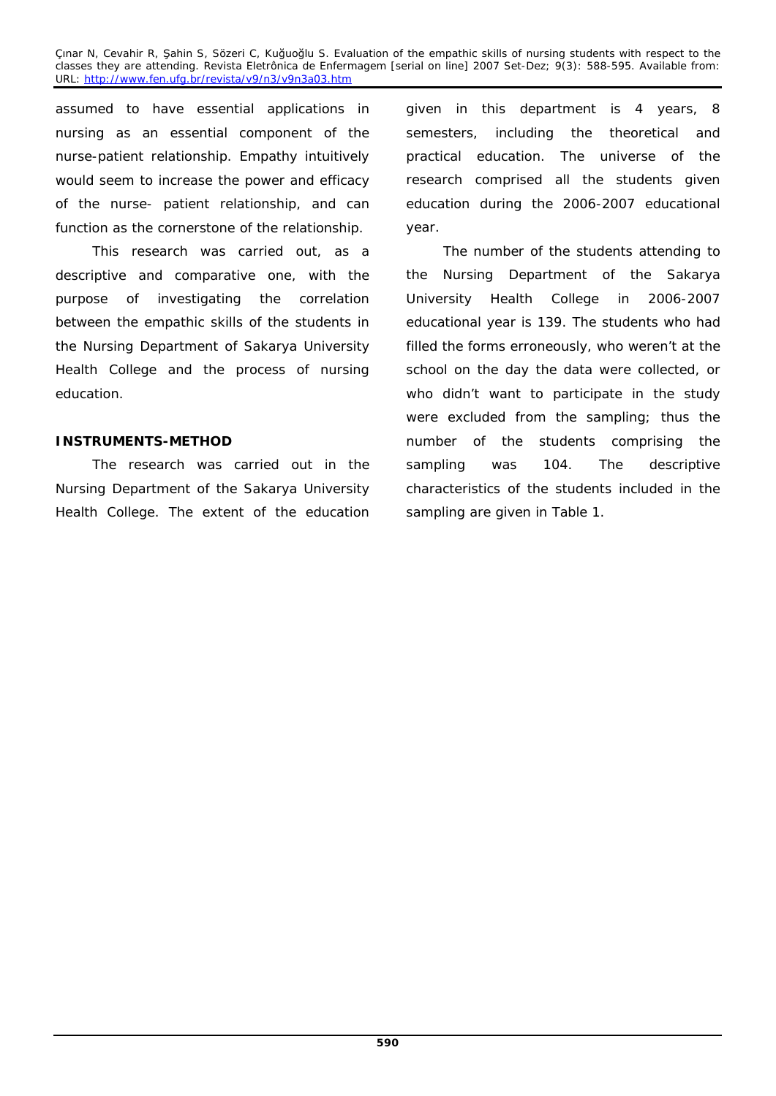assumed to have essential applications in nursing as an essential component of the nurse-patient relationship. Empathy intuitively would seem to increase the power and efficacy of the nurse- patient relationship, and can function as the cornerstone of the relationship.

This research was carried out, as a descriptive and comparative one, with the purpose of investigating the correlation between the empathic skills of the students in the Nursing Department of Sakarya University Health College and the process of nursing education.

## **INSTRUMENTS-METHOD**

The research was carried out in the Nursing Department of the Sakarya University Health College. The extent of the education given in this department is 4 years, 8 semesters, including the theoretical and practical education. The universe of the research comprised all the students given education during the 2006-2007 educational year.

The number of the students attending to the Nursing Department of the Sakarya University Health College in 2006-2007 educational year is 139. The students who had filled the forms erroneously, who weren't at the school on the day the data were collected, or who didn't want to participate in the study were excluded from the sampling; thus the number of the students comprising the sampling was 104. The descriptive characteristics of the students included in the sampling are given in Table 1.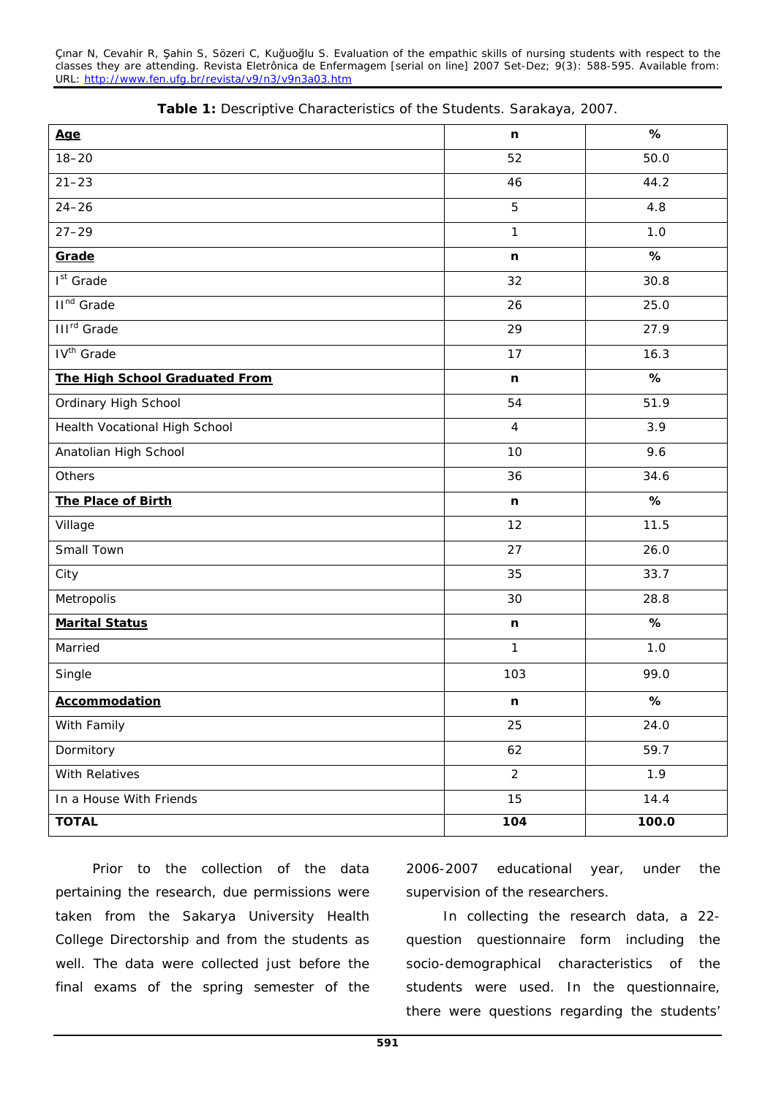| Age                            | n              | $\%$              |  |
|--------------------------------|----------------|-------------------|--|
| $18 - 20$                      | 52             | 50.0              |  |
| $21 - 23$                      | 46             | 44.2              |  |
| $24 - 26$                      | 5              | 4.8               |  |
| $27 - 29$                      | $\mathbf{1}$   | 1.0               |  |
| Grade                          | n              | %                 |  |
| $Ist$ Grade                    | 32             | 30.8              |  |
| II <sup>nd</sup> Grade         | 26             | 25.0              |  |
| <b>III<sup>rd</sup></b> Grade  | 29             | 27.9              |  |
| IV <sup>th</sup> Grade         | 17             | 16.3              |  |
| The High School Graduated From | n              | %                 |  |
| Ordinary High School           | 54             | 51.9              |  |
| Health Vocational High School  | $\overline{4}$ | 3.9               |  |
| Anatolian High School          | 10             | 9.6               |  |
| Others                         | 36             | 34.6              |  |
| The Place of Birth             | n              | %                 |  |
| Village                        | 12             | 11.5              |  |
| Small Town                     | 27             | 26.0              |  |
| City                           | 35             | 33.7              |  |
| Metropolis                     | 30             | 28.8              |  |
| <b>Marital Status</b>          | n.             | %                 |  |
| Married                        | $\mathbf{1}$   | 1.0               |  |
| Single                         | 103            | 99.0              |  |
| Accommodation                  | n              | $\boldsymbol{\%}$ |  |
| With Family                    | 25             | 24.0              |  |
| Dormitory                      | 62             | 59.7              |  |
| With Relatives                 | $\overline{2}$ | 1.9               |  |
| In a House With Friends        | 15             | 14.4              |  |
| <b>TOTAL</b>                   | 104            | 100.0             |  |

|  |  |  | Table 1: Descriptive Characteristics of the Students. Sarakaya, 2007. |  |  |  |  |
|--|--|--|-----------------------------------------------------------------------|--|--|--|--|
|--|--|--|-----------------------------------------------------------------------|--|--|--|--|

Prior to the collection of the data pertaining the research, due permissions were taken from the Sakarya University Health College Directorship and from the students as well. The data were collected just before the final exams of the spring semester of the

2006-2007 educational year, under the supervision of the researchers.

In collecting the research data, a 22 question questionnaire form including the socio-demographical characteristics of the students were used. In the questionnaire, there were questions regarding the students'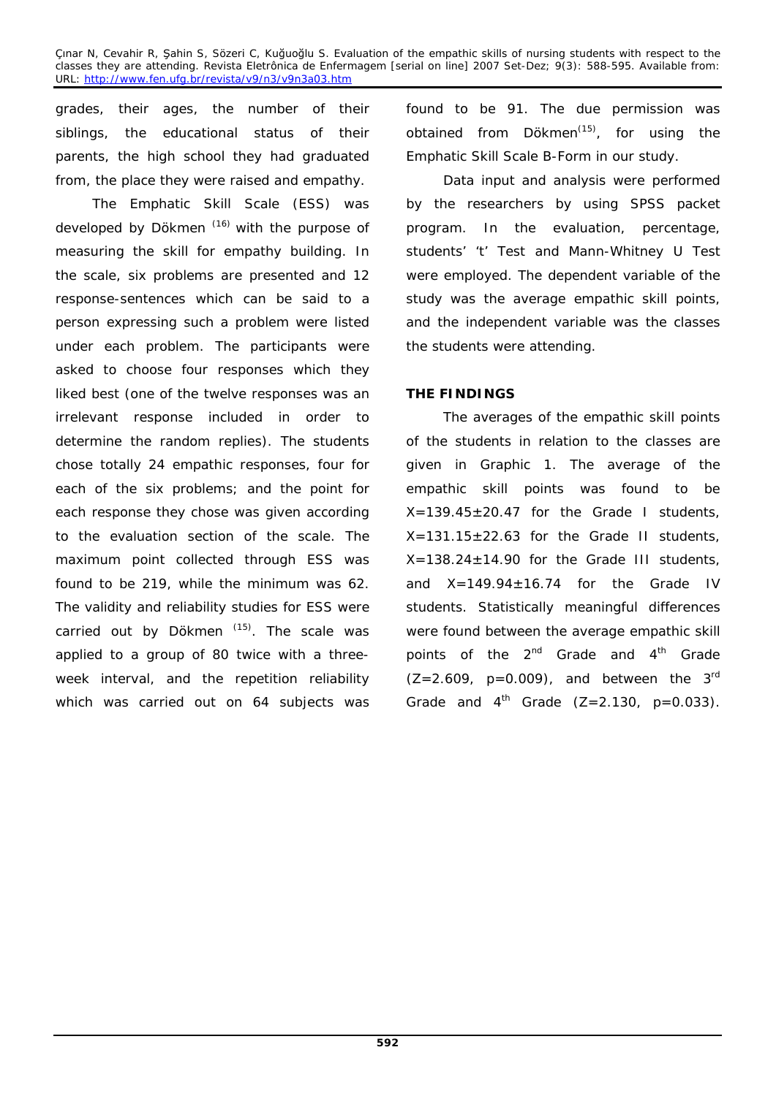grades, their ages, the number of their siblings, the educational status of their parents, the high school they had graduated from, the place they were raised and empathy.

The Emphatic Skill Scale (ESS) was developed by Dökmen<sup>(16)</sup> with the purpose of measuring the skill for empathy building. In the scale, six problems are presented and 12 response-sentences which can be said to a person expressing such a problem were listed under each problem. The participants were asked to choose four responses which they liked best (one of the twelve responses was an irrelevant response included in order to determine the random replies). The students chose totally 24 empathic responses, four for each of the six problems; and the point for each response they chose was given according to the evaluation section of the scale. The maximum point collected through ESS was found to be 219, while the minimum was 62. The validity and reliability studies for ESS were carried out by Dökmen  $(15)$ . The scale was applied to a group of 80 twice with a threeweek interval, and the repetition reliability which was carried out on 64 subjects was found to be 91. The due permission was obtained from  $D\ddot{o}$ kmen<sup>(15)</sup>, for using the Emphatic Skill Scale B-Form in our study.

Data input and analysis were performed by the researchers by using SPSS packet program. In the evaluation, percentage, students' 't' Test and Mann-Whitney U Test were employed. The dependent variable of the study was the average empathic skill points, and the independent variable was the classes the students were attending.

## **THE FINDINGS**

The averages of the empathic skill points of the students in relation to the classes are given in Graphic 1. The average of the empathic skill points was found to be  $X=139.45\pm20.47$  for the Grade I students,  $X=131.15\pm22.63$  for the Grade II students,  $X=138.24\pm14.90$  for the Grade III students, and  $X=149.94\pm16.74$  for the Grade IV students. Statistically meaningful differences were found between the average empathic skill points of the  $2^{nd}$  Grade and  $4^{th}$  Grade  $(Z=2.609, p=0.009)$ , and between the 3<sup>rd</sup> Grade and  $4^{th}$  Grade (Z=2.130, p=0.033).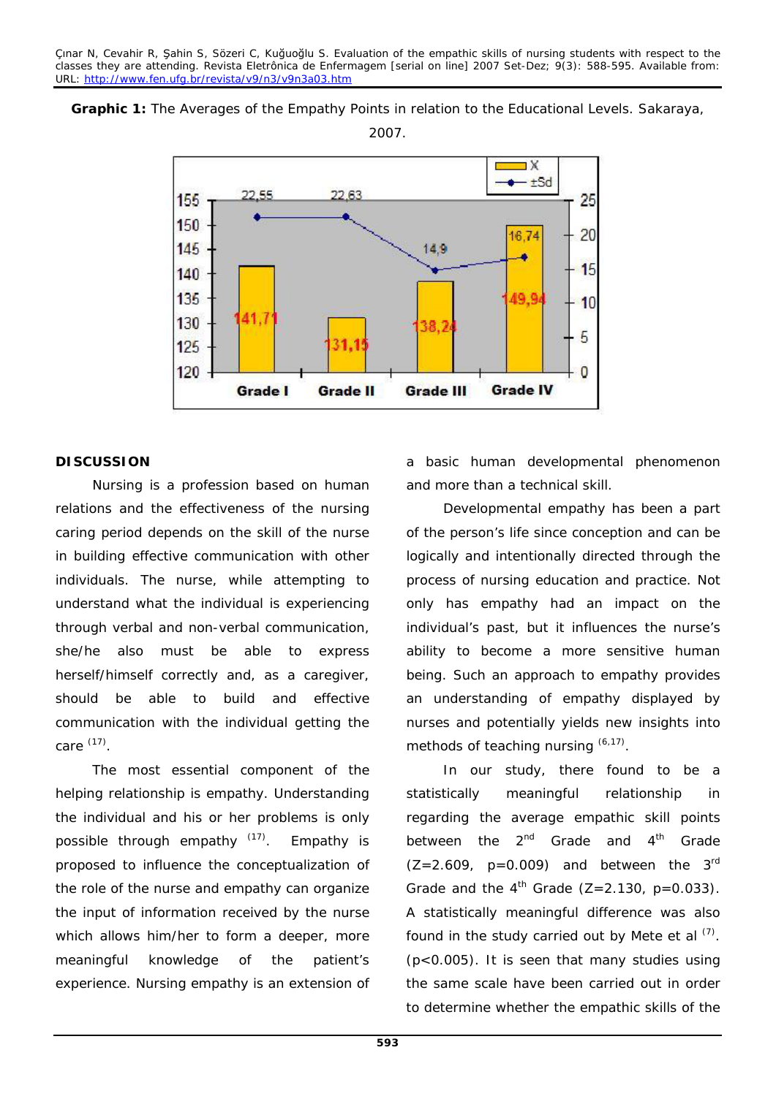**Graphic 1:** The Averages of the Empathy Points in relation to the Educational Levels. Sakaraya, 2007.



### **DISCUSSION**

Nursing is a profession based on human relations and the effectiveness of the nursing caring period depends on the skill of the nurse in building effective communication with other individuals. The nurse, while attempting to understand what the individual is experiencing through verbal and non-verbal communication, she/he also must be able to express herself/himself correctly and, as a caregiver, should be able to build and effective communication with the individual getting the care (17).

The most essential component of the helping relationship is empathy. Understanding the individual and his or her problems is only possible through empathy  $(17)$ . Empathy is proposed to influence the conceptualization of the role of the nurse and empathy can organize the input of information received by the nurse which allows him/her to form a deeper, more meaningful knowledge of the patient's experience. Nursing empathy is an extension of a basic human developmental phenomenon and more than a technical skill.

Developmental empathy has been a part of the person's life since conception and can be logically and intentionally directed through the process of nursing education and practice. Not only has empathy had an impact on the individual's past, but it influences the nurse's ability to become a more sensitive human being. Such an approach to empathy provides an understanding of empathy displayed by nurses and potentially yields new insights into methods of teaching nursing  $(6,17)$ .

In our study, there found to be a statistically meaningful relationship in regarding the average empathic skill points between the  $2^{nd}$  Grade and  $4^{th}$  Grade  $(Z=2.609, p=0.009)$  and between the 3<sup>rd</sup> Grade and the  $4^{th}$  Grade (Z=2.130, p=0.033). A statistically meaningful difference was also found in the study carried out by Mete et al  $(7)$ . (p<0.005). It is seen that many studies using the same scale have been carried out in order to determine whether the empathic skills of the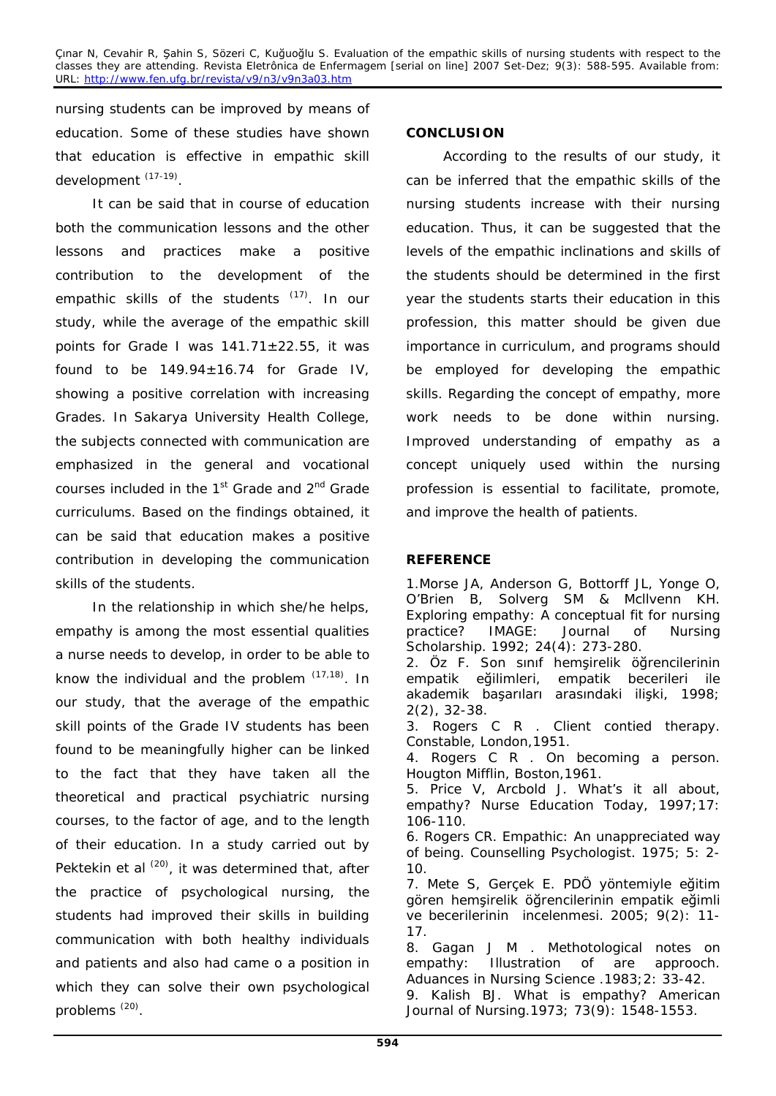nursing students can be improved by means of education. Some of these studies have shown that education is effective in empathic skill development (17-19).

It can be said that in course of education both the communication lessons and the other lessons and practices make a positive contribution to the development of the empathic skills of the students <sup>(17)</sup>. In our study, while the average of the empathic skill points for Grade I was  $141.71 \pm 22.55$ , it was found to be  $149.94 \pm 16.74$  for Grade IV, showing a positive correlation with increasing Grades. In Sakarya University Health College, the subjects connected with communication are emphasized in the general and vocational courses included in the 1<sup>st</sup> Grade and 2<sup>nd</sup> Grade curriculums. Based on the findings obtained, it can be said that education makes a positive contribution in developing the communication skills of the students.

In the relationship in which she/he helps, empathy is among the most essential qualities a nurse needs to develop, in order to be able to know the individual and the problem  $(17,18)$ . In our study, that the average of the empathic skill points of the Grade IV students has been found to be meaningfully higher can be linked to the fact that they have taken all the theoretical and practical psychiatric nursing courses, to the factor of age, and to the length of their education. In a study carried out by Pektekin et al <sup>(20)</sup>, it was determined that, after the practice of psychological nursing, the students had improved their skills in building communication with both healthy individuals and patients and also had came o a position in which they can solve their own psychological problems (20).

## **CONCLUSION**

According to the results of our study, it can be inferred that the empathic skills of the nursing students increase with their nursing education. Thus, it can be suggested that the levels of the empathic inclinations and skills of the students should be determined in the first year the students starts their education in this profession, this matter should be given due importance in curriculum, and programs should be employed for developing the empathic skills. Regarding the concept of empathy, more work needs to be done within nursing. Improved understanding of empathy as a concept uniquely used within the nursing profession is essential to facilitate, promote, and improve the health of patients.

## **REFERENCE**

1.Morse JA, Anderson G, Bottorff JL, Yonge O, O'Brien B, Solverg SM & Mcllvenn KH. Exploring empathy: A conceptual fit for nursing practice? IMAGE: Journal of Nursing Scholarship. 1992; 24(4): 273-280. 2. Öz F. Son sınıf hemşirelik öğrencilerinin<br>empatik eğilimleri, empatik becerileri ile empatik becerileri ile akademik başarıları arasındaki ilişki, 1998; 2(2), 32-38. 3. Rogers C R . Client contied therapy. Constable, London,1951. 4. Rogers C R . On becoming a person. Hougton Mifflin, Boston,1961. 5. Price V, Arcbold J. What's it all about, empathy? Nurse Education Today, 1997;17: 106-110. 6. Rogers CR. Empathic: An unappreciated way of being. Counselling Psychologist. 1975; 5: 2- 10. 7. Mete S, Gerçek E. PDÖ yöntemiyle eğitim gören hemsirelik öğrencilerinin empatik eğimli ve becerilerinin incelenmesi. 2005; 9(2): 11- 17. 8. Gagan J M . Methotological notes on empathy: Illustration of are approoch. Aduances in Nursing Science .1983;2: 33-42. 9. Kalish BJ. What is empathy? American Journal of Nursing.1973; 73(9): 1548-1553.